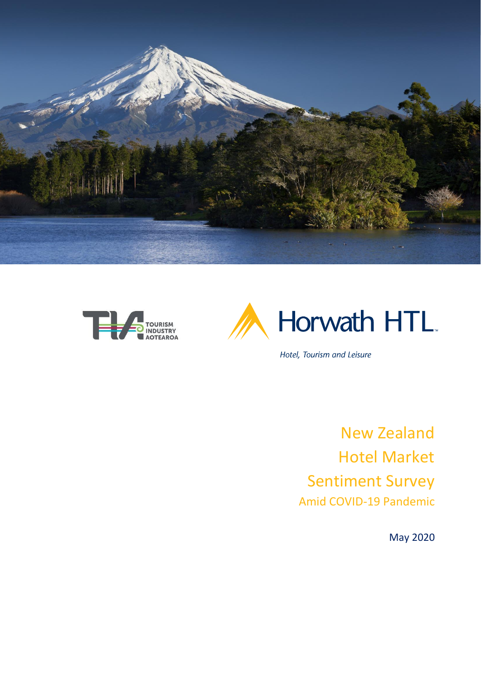





Hotel, Tourism and Leisure

New Zealand Hotel Market Sentiment Survey Amid COVID-19 Pandemic

May 2020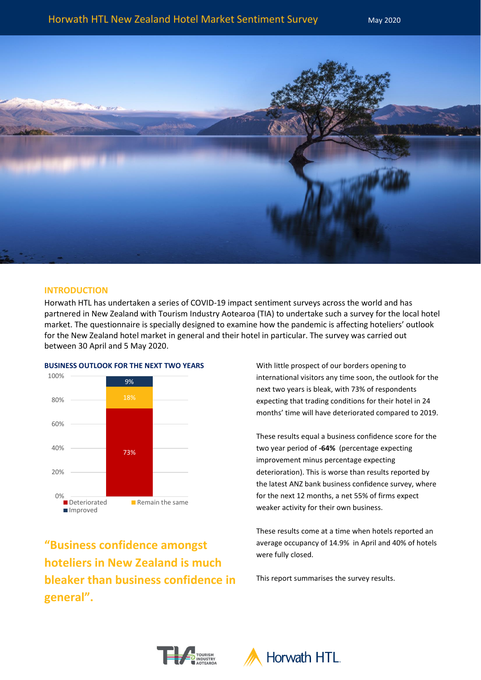

# **INTRODUCTION**

Horwath HTL has undertaken a series of COVID-19 impact sentiment surveys across the world and has partnered in New Zealand with Tourism Industry Aotearoa (TIA) to undertake such a survey for the local hotel market. The questionnaire is specially designed to examine how the pandemic is affecting hoteliers' outlook for the New Zealand hotel market in general and their hotel in particular. The survey was carried out between 30 April and 5 May 2020.



**BUSINESS OUTLOOK FOR THE NEXT TWO YEARS**

**"Business confidence amongst hoteliers in New Zealand is much bleaker than business confidence in general".**

With little prospect of our borders opening to international visitors any time soon, the outlook for the next two years is bleak, with 73% of respondents expecting that trading conditions for their hotel in 24 months' time will have deteriorated compared to 2019.

These results equal a business confidence score for the two year period of **-64%** (percentage expecting improvement minus percentage expecting deterioration). This is worse than results reported by the latest ANZ bank business confidence survey, where for the next 12 months, a net 55% of firms expect weaker activity for their own business.

These results come at a time when hotels reported an average occupancy of 14.9% in April and 40% of hotels were fully closed.

This report summarises the survey results.



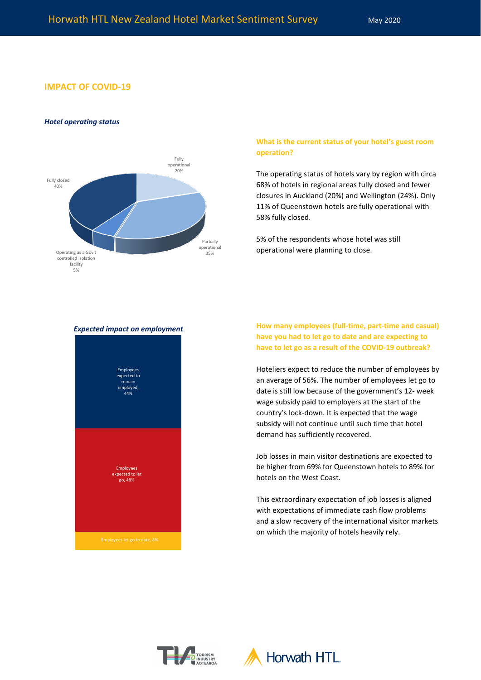## **IMPACT OF COVID-19**

#### *Hotel operating status*



# **What is the current status of your hotel's guest room operation?**

The operating status of hotels vary by region with circa 68% of hotels in regional areas fully closed and fewer closures in Auckland (20%) and Wellington (24%). Only 11% of Queenstown hotels are fully operational with 58% fully closed.

5% of the respondents whose hotel was still operational were planning to close.

# *Expected impact on employment*



**How many employees (full-time, part-time and casual) have you had to let go to date and are expecting to have to let go as a result of the COVID-19 outbreak?**

Hoteliers expect to reduce the number of employees by an average of 56%. The number of employees let go to date is still low because of the government's 12- week wage subsidy paid to employers at the start of the country's lock-down. It is expected that the wage subsidy will not continue until such time that hotel demand has sufficiently recovered.

Job losses in main visitor destinations are expected to be higher from 69% for Queenstown hotels to 89% for hotels on the West Coast.

This extraordinary expectation of job losses is aligned with expectations of immediate cash flow problems and a slow recovery of the international visitor markets on which the majority of hotels heavily rely.



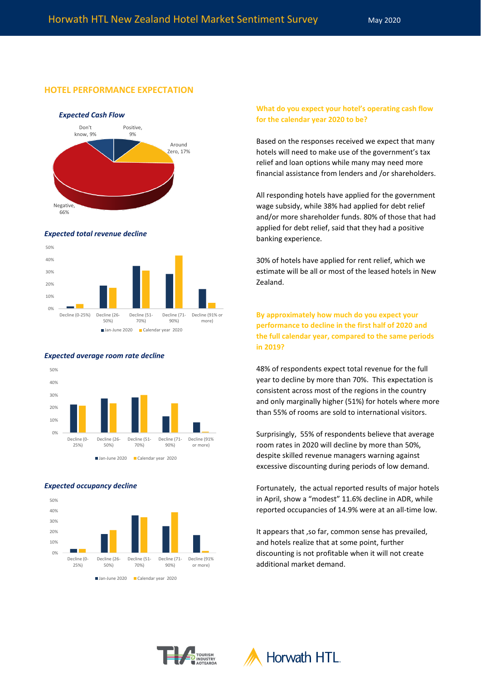# **HOTEL PERFORMANCE EXPECTATION**







#### *Expected average room rate decline*



#### *Expected occupancy decline*



**What do you expect your hotel's operating cash flow for the calendar year 2020 to be?**

Based on the responses received we expect that many hotels will need to make use of the government's tax relief and loan options while many may need more financial assistance from lenders and /or shareholders.

All responding hotels have applied for the government wage subsidy, while 38% had applied for debt relief and/or more shareholder funds. 80% of those that had applied for debt relief, said that they had a positive banking experience.

30% of hotels have applied for rent relief, which we estimate will be all or most of the leased hotels in New Zealand.

**By approximately how much do you expect your performance to decline in the first half of 2020 and the full calendar year, compared to the same periods in 2019?**

48% of respondents expect total revenue for the full year to decline by more than 70%. This expectation is consistent across most of the regions in the country and only marginally higher (51%) for hotels where more than 55% of rooms are sold to international visitors.

Surprisingly, 55% of respondents believe that average room rates in 2020 will decline by more than 50%, despite skilled revenue managers warning against excessive discounting during periods of low demand.

Fortunately, the actual reported results of major hotels in April, show a "modest" 11.6% decline in ADR, while reported occupancies of 14.9% were at an all-time low.

It appears that ,so far, common sense has prevailed, and hotels realize that at some point, further discounting is not profitable when it will not create additional market demand.



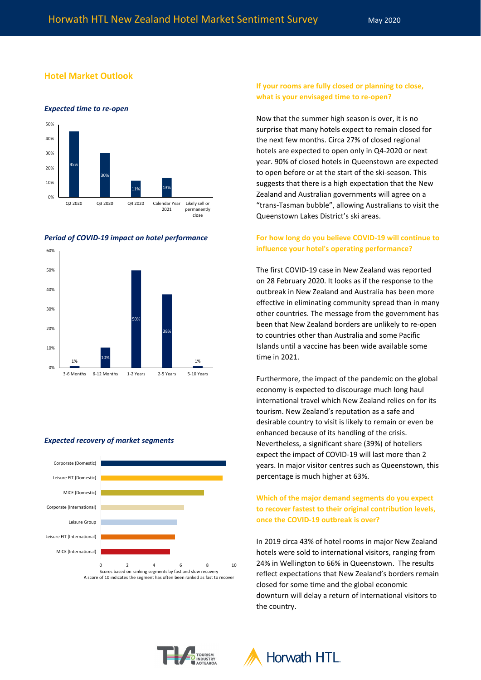# **Hotel Market Outlook**



#### *Period of COVID-19 impact on hotel performance*



#### *Expected recovery of market segments*



# **If your rooms are fully closed or planning to close, what is your envisaged time to re-open?**

Now that the summer high season is over, it is no surprise that many hotels expect to remain closed for the next few months. Circa 27% of closed regional hotels are expected to open only in Q4-2020 or next year. 90% of closed hotels in Queenstown are expected to open before or at the start of the ski-season. This suggests that there is a high expectation that the New Zealand and Australian governments will agree on a "trans-Tasman bubble", allowing Australians to visit the Queenstown Lakes District's ski areas.

# **For how long do you believe COVID-19 will continue to influence your hotel's operating performance?**

The first COVID-19 case in New Zealand was reported on 28 February 2020. It looks as if the response to the outbreak in New Zealand and Australia has been more effective in eliminating community spread than in many other countries. The message from the government has been that New Zealand borders are unlikely to re-open to countries other than Australia and some Pacific Islands until a vaccine has been wide available some time in 2021.

Furthermore, the impact of the pandemic on the global economy is expected to discourage much long haul international travel which New Zealand relies on for its tourism. New Zealand's reputation as a safe and desirable country to visit is likely to remain or even be enhanced because of its handling of the crisis. Nevertheless, a significant share (39%) of hoteliers expect the impact of COVID-19 will last more than 2 years. In major visitor centres such as Queenstown, this percentage is much higher at 63%.

# **Which of the major demand segments do you expect to recover fastest to their original contribution levels, once the COVID-19 outbreak is over?**

In 2019 circa 43% of hotel rooms in major New Zealand hotels were sold to international visitors, ranging from 24% in Wellington to 66% in Queenstown. The results reflect expectations that New Zealand's borders remain closed for some time and the global economic downturn will delay a return of international visitors to the country.



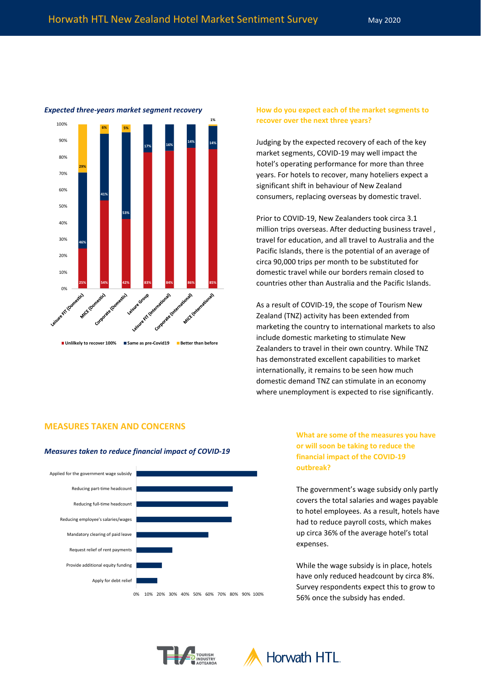

*Expected three-years market segment recovery* **How do you expect each of the market segments to recover over the next three years?**

> Judging by the expected recovery of each of the key market segments, COVID-19 may well impact the hotel's operating performance for more than three years. For hotels to recover, many hoteliers expect a significant shift in behaviour of New Zealand consumers, replacing overseas by domestic travel.

Prior to COVID-19, New Zealanders took circa 3.1 million trips overseas. After deducting business travel , travel for education, and all travel to Australia and the Pacific Islands, there is the potential of an average of circa 90,000 trips per month to be substituted for domestic travel while our borders remain closed to countries other than Australia and the Pacific Islands.

As a result of COVID-19, the scope of Tourism New Zealand (TNZ) activity has been extended from marketing the country to international markets to also include domestic marketing to stimulate New Zealanders to travel in their own country. While TNZ has demonstrated excellent capabilities to market internationally, it remains to be seen how much domestic demand TNZ can stimulate in an economy where unemployment is expected to rise significantly.

### **MEASURES TAKEN AND CONCERNS**

#### *Measures taken to reduce financial impact of COVID-19*



**What are some of the measures you have or will soon be taking to reduce the financial impact of the COVID-19 outbreak?** 

The government's wage subsidy only partly covers the total salaries and wages payable to hotel employees. As a result, hotels have had to reduce payroll costs, which makes up circa 36% of the average hotel's total expenses.

While the wage subsidy is in place, hotels have only reduced headcount by circa 8%. Survey respondents expect this to grow to 56% once the subsidy has ended.



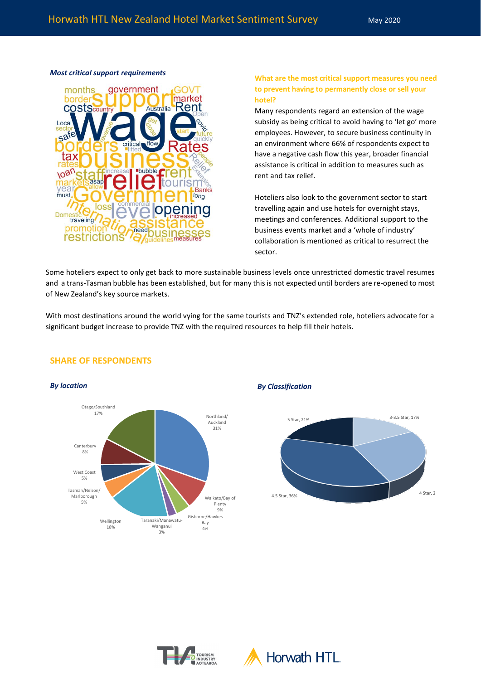

# *Most critical support requirements* **What are the most critical support measures you need to prevent having to permanently close or sell your hotel?**

Many respondents regard an extension of the wage subsidy as being critical to avoid having to 'let go' more employees. However, to secure business continuity in an environment where 66% of respondents expect to have a negative cash flow this year, broader financial assistance is critical in addition to measures such as rent and tax relief.

Hoteliers also look to the government sector to start travelling again and use hotels for overnight stays, meetings and conferences. Additional support to the business events market and a 'whole of industry' collaboration is mentioned as critical to resurrect the sector.

Some hoteliers expect to only get back to more sustainable business levels once unrestricted domestic travel resumes and a trans-Tasman bubble has been established, but for many this is not expected until borders are re-opened to most of New Zealand's key source markets.

With most destinations around the world vying for the same tourists and TNZ's extended role, hoteliers advocate for a significant budget increase to provide TNZ with the required resources to help fill their hotels.



# **SHARE OF RESPONDENTS**

*By location By Classification*





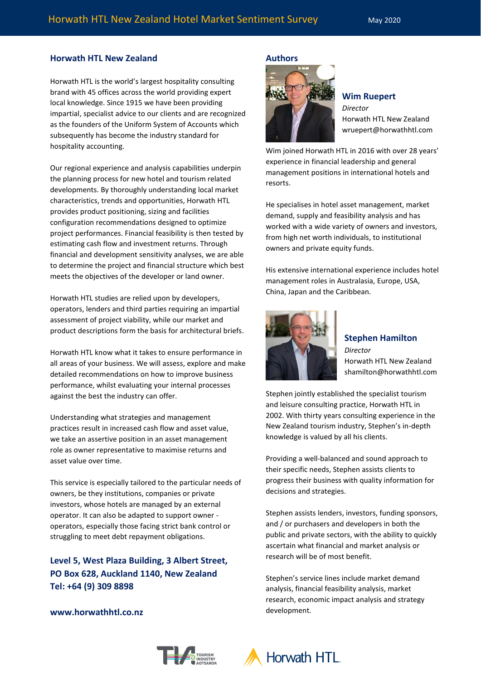# **Horwath HTL New Zealand**

Horwath HTL is the world's largest hospitality consulting brand with 45 offices across the world providing expert local knowledge. Since 1915 we have been providing impartial, specialist advice to our clients and are recognized as the founders of the Uniform System of Accounts which subsequently has become the industry standard for hospitality accounting.

Our regional experience and analysis capabilities underpin the planning process for new hotel and tourism related developments. By thoroughly understanding local market characteristics, trends and opportunities, Horwath HTL provides product positioning, sizing and facilities configuration recommendations designed to optimize project performances. Financial feasibility is then tested by estimating cash flow and investment returns. Through financial and development sensitivity analyses, we are able to determine the project and financial structure which best meets the objectives of the developer or land owner.

Horwath HTL studies are relied upon by developers, operators, lenders and third parties requiring an impartial assessment of project viability, while our market and product descriptions form the basis for architectural briefs.

Horwath HTL know what it takes to ensure performance in all areas of your business. We will assess, explore and make detailed recommendations on how to improve business performance, whilst evaluating your internal processes against the best the industry can offer.

Understanding what strategies and management practices result in increased cash flow and asset value, we take an assertive position in an asset management role as owner representative to maximise returns and asset value over time.

This service is especially tailored to the particular needs of owners, be they institutions, companies or private investors, whose hotels are managed by an external operator. It can also be adapted to support owner operators, especially those facing strict bank control or struggling to meet debt repayment obligations.

**Level 5, West Plaza Building, 3 Albert Street, PO Box 628, Auckland 1140, New Zealand Tel: +64 (9) 309 8898**

#### **Authors**



### **Wim Ruepert**

*Director* Horwath HTL New Zealand wruepert@horwathhtl.com

Wim joined Horwath HTL in 2016 with over 28 years' experience in financial leadership and general management positions in international hotels and resorts.

He specialises in hotel asset management, market demand, supply and feasibility analysis and has worked with a wide variety of owners and investors, from high net worth individuals, to institutional owners and private equity funds.

His extensive international experience includes hotel management roles in Australasia, Europe, USA, China, Japan and the Caribbean.



**Stephen Hamilton** *Director* Horwath HTL New Zealand shamilton@horwathhtl.com

Stephen jointly established the specialist tourism and leisure consulting practice, Horwath HTL in 2002. With thirty years consulting experience in the New Zealand tourism industry, Stephen's in-depth knowledge is valued by all his clients.

Providing a well-balanced and sound approach to their specific needs, Stephen assists clients to progress their business with quality information for decisions and strategies.

Stephen assists lenders, investors, funding sponsors, and / or purchasers and developers in both the public and private sectors, with the ability to quickly ascertain what financial and market analysis or research will be of most benefit.

Stephen's service lines include market demand analysis, financial feasibility analysis, market research, economic impact analysis and strategy development.